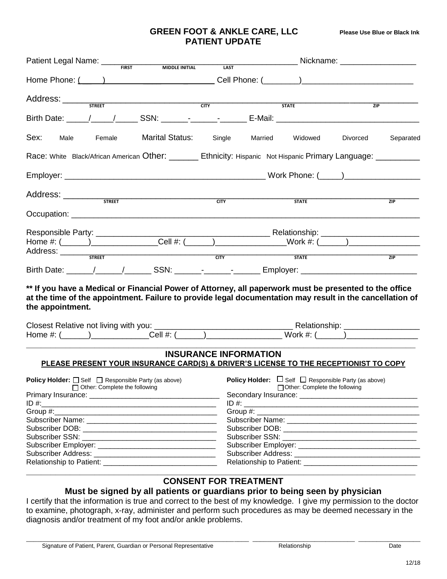## **GREEN FOOT & ANKLE CARE, LLC Please Use Blue or Black Ink PATIENT UPDATE**

|                                                             | Patient Legal Name: ___<br>Nickname: ____________________<br><b>FIRST</b><br><b>MIDDLE INITIAL</b> |                                                                                                                                                                                                                                                                  |  |  |  |
|-------------------------------------------------------------|----------------------------------------------------------------------------------------------------|------------------------------------------------------------------------------------------------------------------------------------------------------------------------------------------------------------------------------------------------------------------|--|--|--|
| <b>LAST</b>                                                 |                                                                                                    |                                                                                                                                                                                                                                                                  |  |  |  |
|                                                             |                                                                                                    |                                                                                                                                                                                                                                                                  |  |  |  |
|                                                             |                                                                                                    |                                                                                                                                                                                                                                                                  |  |  |  |
|                                                             |                                                                                                    | ZIP                                                                                                                                                                                                                                                              |  |  |  |
|                                                             |                                                                                                    |                                                                                                                                                                                                                                                                  |  |  |  |
|                                                             | Widowed                                                                                            | Separated<br>Divorced                                                                                                                                                                                                                                            |  |  |  |
|                                                             |                                                                                                    |                                                                                                                                                                                                                                                                  |  |  |  |
|                                                             |                                                                                                    |                                                                                                                                                                                                                                                                  |  |  |  |
|                                                             |                                                                                                    | ZIP                                                                                                                                                                                                                                                              |  |  |  |
|                                                             |                                                                                                    |                                                                                                                                                                                                                                                                  |  |  |  |
|                                                             |                                                                                                    |                                                                                                                                                                                                                                                                  |  |  |  |
|                                                             |                                                                                                    |                                                                                                                                                                                                                                                                  |  |  |  |
|                                                             |                                                                                                    |                                                                                                                                                                                                                                                                  |  |  |  |
|                                                             |                                                                                                    |                                                                                                                                                                                                                                                                  |  |  |  |
| $\overline{C}$                                              | <b>STATE</b>                                                                                       | ZIP                                                                                                                                                                                                                                                              |  |  |  |
|                                                             |                                                                                                    |                                                                                                                                                                                                                                                                  |  |  |  |
|                                                             |                                                                                                    | ** If you have a Medical or Financial Power of Attorney, all paperwork must be presented to the office<br>at the time of the appointment. Failure to provide legal documentation may result in the cancellation of                                               |  |  |  |
| <b>INSURANCE INFORMATION</b>                                |                                                                                                    | PLEASE PRESENT YOUR INSURANCE CARD(S) & DRIVER'S LICENSE TO THE RECEPTIONIST TO COPY                                                                                                                                                                             |  |  |  |
| <b>Policy Holder:</b> □ Self □ Responsible Party (as above) | Other: Complete the following                                                                      | <b>Policy Holder:</b> $\Box$ Self $\Box$ Responsible Party (as above)                                                                                                                                                                                            |  |  |  |
|                                                             |                                                                                                    |                                                                                                                                                                                                                                                                  |  |  |  |
|                                                             |                                                                                                    |                                                                                                                                                                                                                                                                  |  |  |  |
|                                                             |                                                                                                    |                                                                                                                                                                                                                                                                  |  |  |  |
|                                                             |                                                                                                    |                                                                                                                                                                                                                                                                  |  |  |  |
|                                                             |                                                                                                    | Subscriber DOB: The contract of the contract of the contract of the contract of the contract of the contract of the contract of the contract of the contract of the contract of the contract of the contract of the contract o                                   |  |  |  |
|                                                             |                                                                                                    |                                                                                                                                                                                                                                                                  |  |  |  |
|                                                             |                                                                                                    |                                                                                                                                                                                                                                                                  |  |  |  |
|                                                             | Home Phone: $(\_\_)$<br><b>CITY</b><br>Single Married<br><b>CITY</b>                               | <b>STATE</b><br>Birth Date: \_____/ _____/ ________ SSN: \_______- _______________ E-Mail: \__________________________________<br>Race: White Black/African American Other: _______ Ethnicity: Hispanic Not Hispanic Primary Language: _________<br><b>STATE</b> |  |  |  |

## **CONSENT FOR TREATMENT**

## **Must be signed by all patients or guardians prior to being seen by physician**

I certify that the information is true and correct to the best of my knowledge. I give my permission to the doctor to examine, photograph, x-ray, administer and perform such procedures as may be deemed necessary in the diagnosis and/or treatment of my foot and/or ankle problems.